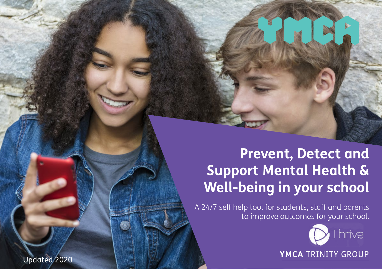### **Prevent, Detect and Support Mental Health & Well-being in your school**

A 24/7 self help tool for students, staff and parents to improve outcomes for your school.



**YMCA** TRINITY GROUP

Updated 2020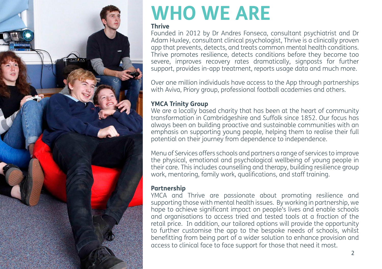

# **WHO WE ARE**

#### **Thrive**

Founded in 2012 by Dr Andres Fonseca, consultant psychiatrist and Dr Adam Huxley, consultant clinical psychologist, Thrive is a clinically proven app that prevents, detects, and treats common mental health conditions. Thrive promotes resilience, detects conditions before they become too severe, improves recovery rates dramatically, signposts for further support, provides in-app treatment, reports usage data and much more.

Over one million individuals have access to the App through partnerships with Aviva, Priory group, professional football academies and others.

#### **YMCA Trinity Group**

We are a locally based charity that has been at the heart of community transformation in Cambridgeshire and Suffolk since 1852. Our focus has always been on building proactive and sustainable communities with an emphasis on supporting young people, helping them to realise their full potential on their journey from dependence to independence.

Menu of Services offers schools and partners a range of services to improve the physical, emotional and psychological wellbeing of young people in their care. This includes counselling and therapy, building resilience group work, mentoring, family work, qualifications, and staff training.

#### **Partnership**

YMCA and Thrive are passionate about promoting resilience and supporting those with mental health issues. By working in partnership, we hope to achieve significant impact on people's lives and enable schools and organisations to access tried and tested tools at a fraction of the retail price. In addition, our tailored options will provide the opportunity to further customise the app to the bespoke needs of schools, whilst benefitting from being part of a wider solution to enhance provision and access to clinical face to face support for those that need it most.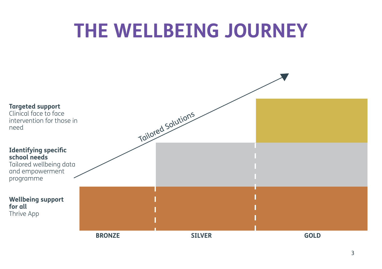## **THE WELLBEING JOURNEY**

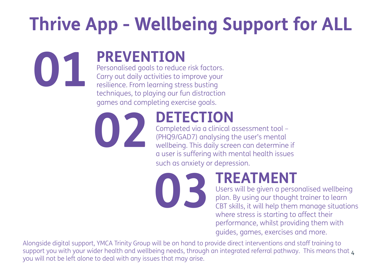# **Thrive App - Wellbeing Support for ALL**

### **PREVENTION**

Personalised goals to reduce risk factors. Carry out daily activities to improve your resilience. From learning stress busting techniques, to playing our fun distraction games and completing exercise goals.



**01**

### **DETECTION**

Completed via a clinical assessment tool – (PHQ9/GAD7) analysing the user's mental wellbeing. This daily screen can determine if a user is suffering with mental health issues such as anxiety or depression.

**03**

### **TREATMENT**

Users will be given a personalised wellbeing plan. By using our thought trainer to learn CBT skills, it will help them manage situations where stress is starting to affect their performance, whilst providing them with guides, games, exercises and more.

support you with your wider health and wellbeing needs, through an integrated referral pathway. This means that  $_{\rm 4}$ Alongside digital support, YMCA Trinity Group will be on hand to provide direct interventions and staff training to you will not be left alone to deal with any issues that may arise.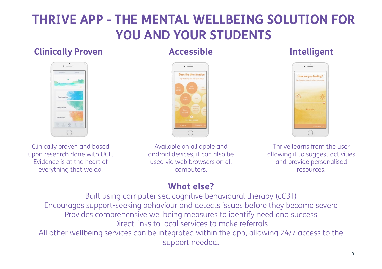### **THRIVE APP - THE MENTAL WELLBEING SOLUTION FOR YOU AND YOUR STUDENTS**

#### **Clinically Proven Accessible Intelligent**







Clinically proven and based upon research done with UCL. Evidence is at the heart of everything that we do.

Available on all apple and android devices, it can also be used via web browsers on all computers.

Thrive learns from the user allowing it to suggest activities and provide personalised resources.

### **What else?**

Built using computerised cognitive behavioural therapy (cCBT) Encourages support-seeking behaviour and detects issues before they become severe Provides comprehensive wellbeing measures to identify need and success Direct links to local services to make referrals All other wellbeing services can be integrated within the app, allowing 24/7 access to the support needed.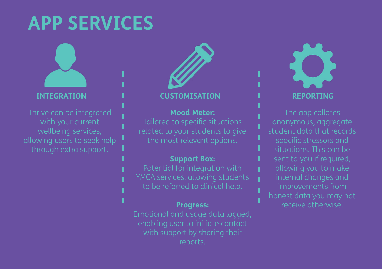## **APP SERVICES**



with your current wellbeing services, through extra support.



#### **INTEGRATION CUSTOMISATION REPORTING**

#### **Mood Meter:**

related to your students to give

#### **Support Box:**

Potential for integration with

#### **Progress:**

Emotional and usage data logged, with support by sharing their



The app collates anonymous, aggregate student data that records specific stressors and situations. This can be allowing you to make receive otherwise.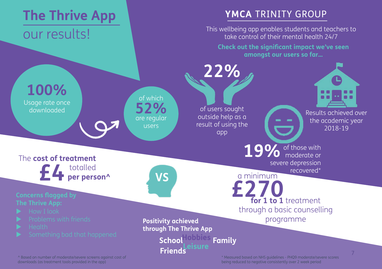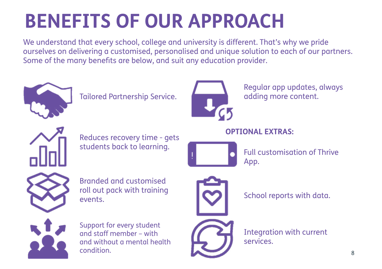# **BENEFITS OF OUR APPROACH**

We understand that every school, college and university is different. That's why we pride ourselves on delivering a customised, personalised and unique solution to each of our partners. Some of the many benefits are below, and suit any education provider.



Tailored Partnership Service.



Regular app updates, always adding more content.

### **OPTIONAL EXTRAS:**



Reduces recovery time - gets students back to learning.



Full customisation of Thrive App.





Support for every student and staff member – with and without a mental health condition.



School reports with data.

Integration with current services.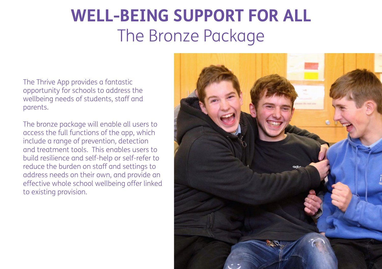### **WELL-BEING SUPPORT FOR ALL**  The Bronze Package

The Thrive App provides a fantastic opportunity for schools to address the wellbeing needs of students, staff and parents.

The bronze package will enable all users to access the full functions of the app, which include a range of prevention, detection and treatment tools. This enables users to build resilience and self-help or self-refer to reduce the burden on staff and settings to address needs on their own, and provide an effective whole school wellbeing offer linked to existing provision.

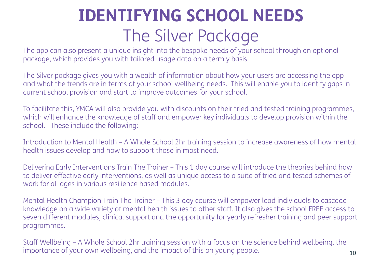## **IDENTIFYING SCHOOL NEEDS** The Silver Package

The app can also present a unique insight into the bespoke needs of your school through an optional package, which provides you with tailored usage data on a termly basis.

The Silver package gives you with a wealth of information about how your users are accessing the app and what the trends are in terms of your school wellbeing needs. This will enable you to identify gaps in current school provision and start to improve outcomes for your school.

To facilitate this, YMCA will also provide you with discounts on their tried and tested training programmes, which will enhance the knowledge of staff and empower key individuals to develop provision within the school. These include the following:

Introduction to Mental Health – A Whole School 2hr training session to increase awareness of how mental health issues develop and how to support those in most need.

Delivering Early Interventions Train The Trainer – This 1 day course will introduce the theories behind how to deliver effective early interventions, as well as unique access to a suite of tried and tested schemes of work for all ages in various resilience based modules.

Mental Health Champion Train The Trainer – This 3 day course will empower lead individuals to cascade knowledge on a wide variety of mental health issues to other staff. It also gives the school FREE access to seven different modules, clinical support and the opportunity for yearly refresher training and peer support programmes.

Staff Wellbeing – A Whole School 2hr training session with a focus on the science behind wellbeing, the importance of your own wellbeing, and the impact of this on young people.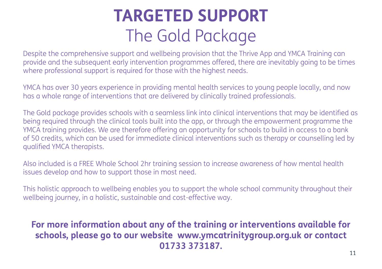### **TARGETED SUPPORT** The Gold Package

Despite the comprehensive support and wellbeing provision that the Thrive App and YMCA Training can provide and the subsequent early intervention programmes offered, there are inevitably going to be times where professional support is required for those with the highest needs.

YMCA has over 30 years experience in providing mental health services to young people locally, and now has a whole range of interventions that are delivered by clinically trained professionals.

The Gold package provides schools with a seamless link into clinical interventions that may be identified as being required through the clinical tools built into the app, or through the empowerment programme the YMCA training provides. We are therefore offering an opportunity for schools to build in access to a bank of 50 credits, which can be used for immediate clinical interventions such as therapy or counselling led by qualified YMCA therapists.

Also included is a FREE Whole School 2hr training session to increase awareness of how mental health issues develop and how to support those in most need.

This holistic approach to wellbeing enables you to support the whole school community throughout their wellbeing journey, in a holistic, sustainable and cost-effective way.

### **For more information about any of the training or interventions available for schools, please go to our website www.ymcatrinitygroup.org.uk or contact 01733 373187.**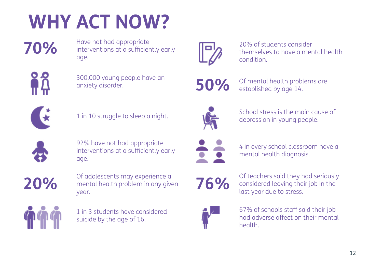# **WHY ACT NOW?**

**70%**

Have not had appropriate interventions at a sufficiently early age.



300,000 young people have an anxiety disorder.



1 in 10 struggle to sleep a night.



92% have not had appropriate interventions at a sufficiently early age.

**20%**

Of adolescents may experience a mental health problem in any given year.



1 in 3 students have considered suicide by the age of 16.



20% of students consider themselves to have a mental health condition.



Of mental health problems are established by age 14.



School stress is the main cause of depression in young people.



4 in every school classroom have a mental health diagnosis.



Of teachers said they had seriously considered leaving their job in the last year due to stress.

67% of schools staff said their job had adverse affect on their mental health.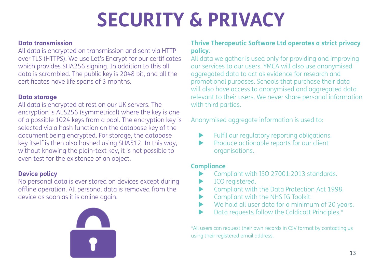# **SECURITY & PRIVACY**

#### **Data transmission**

All data is encrypted on transmission and sent via HTTP over TLS (HTTPS). We use Let's Encrypt for our certificates which provides SHA256 signing. In addition to this all data is scrambled. The public key is 2048 bit, and all the certificates have life spans of 3 months.

#### **Data storage**

All data is encrypted at rest on our UK servers. The encryption is AES256 (symmetrical) where the key is one of a possible 1024 keys from a pool. The encryption key is selected via a hash function on the database key of the document being encrypted. For storage, the database key itself is then also hashed using SHA512. In this way, without knowing the plain-text key, it is not possible to even test for the existence of an object.

#### **Device policy**

No personal data is ever stored on devices except during offline operation. All personal data is removed from the device as soon as it is online again.



#### **Thrive Therapeutic Software Ltd operates a strict privacy policy.**

All data we gather is used only for providing and improving our services to our users. YMCA will also use anonymised aggregated data to act as evidence for research and promotional purposes. Schools that purchase their data will also have access to anonymised and aggregated data relevant to their users. We never share personal information with third parties.

Anonymised aggregate information is used to:

- Fulfil our regulatory reporting obligations.
- **EXECUTE:** Produce actionable reports for our client organisations.

#### **Compliance**

- Compliant with ISO 27001:2013 standards.
- ICO registered.
- ▶ Compliant with the Data Protection Act 1998.
- $\blacktriangleright$  Compliant with the NHS IG Toolkit.
- $\blacktriangleright$  We hold all user data for a minimum of 20 years.
- Data requests follow the Caldicott Principles.\*

\*All users can request their own records in CSV format by contacting us using their registered email address.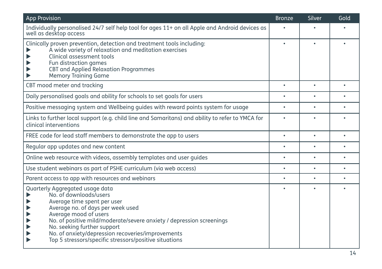| <b>App Provision</b>                                                                                                                                                                                                                                                                                                                                                                                                                                    | <b>Bronze</b> | Silver    | Gold           |
|---------------------------------------------------------------------------------------------------------------------------------------------------------------------------------------------------------------------------------------------------------------------------------------------------------------------------------------------------------------------------------------------------------------------------------------------------------|---------------|-----------|----------------|
| Individually personalised 24/7 self help tool for ages 11+ on all Apple and Android devices as<br>well as desktop access                                                                                                                                                                                                                                                                                                                                | $\bullet$     |           |                |
| Clinically proven prevention, detection and treatment tools including:<br>A wide variety of relaxation and meditation exercises<br>Clinical assessment tools<br>Fun distraction games<br>CBT and Applied Relaxation Programmes<br><b>Memory Training Game</b>                                                                                                                                                                                           | $\bullet$     |           |                |
| CBT mood meter and tracking                                                                                                                                                                                                                                                                                                                                                                                                                             | $\bullet$     | $\bullet$ | $\blacksquare$ |
| Daily personalised goals and ability for schools to set goals for users                                                                                                                                                                                                                                                                                                                                                                                 | $\bullet$     |           | $\bullet$      |
| Positive messaging system and Wellbeing guides with reward points system for usage                                                                                                                                                                                                                                                                                                                                                                      | $\bullet$     | $\bullet$ |                |
| Links to further local support (e.g. child line and Samaritans) and ability to refer to YMCA for<br>clinical interventions                                                                                                                                                                                                                                                                                                                              | $\bullet$     |           |                |
| FREE code for lead staff members to demonstrate the app to users                                                                                                                                                                                                                                                                                                                                                                                        | $\bullet$     | $\bullet$ | $\bullet$      |
| Regular app updates and new content                                                                                                                                                                                                                                                                                                                                                                                                                     | $\bullet$     | ٠         | $\bullet$      |
| Online web resource with videos, assembly templates and user quides                                                                                                                                                                                                                                                                                                                                                                                     | $\bullet$     | $\bullet$ |                |
| Use student webinars as part of PSHE curriculum (via web access)                                                                                                                                                                                                                                                                                                                                                                                        | $\bullet$     | ٠         | $\bullet$      |
| Parent access to app with resources and webinars                                                                                                                                                                                                                                                                                                                                                                                                        | $\bullet$     | $\bullet$ | $\bullet$      |
| Quarterly Aggregated usage data<br>No. of downloads/users<br>Average time spent per user<br>Average no. of days per week used<br>Average mood of users<br>$\blacktriangleright$<br>$\blacktriangleright$<br>No. of positive mild/moderate/severe anxiety / depression screenings<br>No. seeking further support<br>$\blacktriangleright$<br>No. of anxiety/depression recoveries/improvements<br>Top 5 stressors/specific stressors/positive situations |               |           |                |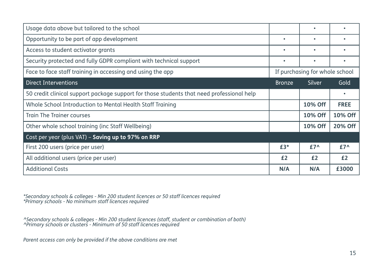| Usage data above but tailored to the school                                               |               | ٠                              |               |
|-------------------------------------------------------------------------------------------|---------------|--------------------------------|---------------|
| Opportunity to be part of app development                                                 |               | ٠                              |               |
| Access to student activator grants                                                        | ٠             | ٠                              |               |
| Security protected and fully GDPR compliant with technical support                        | ٠             | ٠                              | ٠             |
| Face to face staff training in accessing and using the app                                |               | If purchasing for whole school |               |
| <b>Direct Interventions</b>                                                               | <b>Bronze</b> | Silver                         | Gold          |
| 50 credit clinical support package support for those students that need professional help |               |                                |               |
| Whole School Introduction to Mental Health Staff Training                                 |               | 10% Off                        | <b>FREE</b>   |
| <b>Train The Trainer courses</b>                                                          |               | 10% Off                        | 10% Off       |
| Other whole school training (inc Staff Wellbeing)                                         |               | 10% Off                        | 20% Off       |
| Cost per year (plus VAT) - Saving up to 97% on RRP                                        |               |                                |               |
| First 200 users (price per user)                                                          | $£3*$         | $£7^{\wedge}$                  | $£7^{\wedge}$ |
| All additional users (price per user)                                                     | £2            | £2                             | £2            |
| <b>Additional Costs</b>                                                                   | N/A           | N/A                            | £3000         |

\*Secondary schools & colleges - Min 200 student licences or 50 staff licences required \*Primary schools - No minimum staff licences required

^Secondary schools & colleges - Min 200 student licences (staff, student or combination of both) ^Primary schools or clusters - Minimum of 50 staff licences required

Parent access can only be provided if the above conditions are met